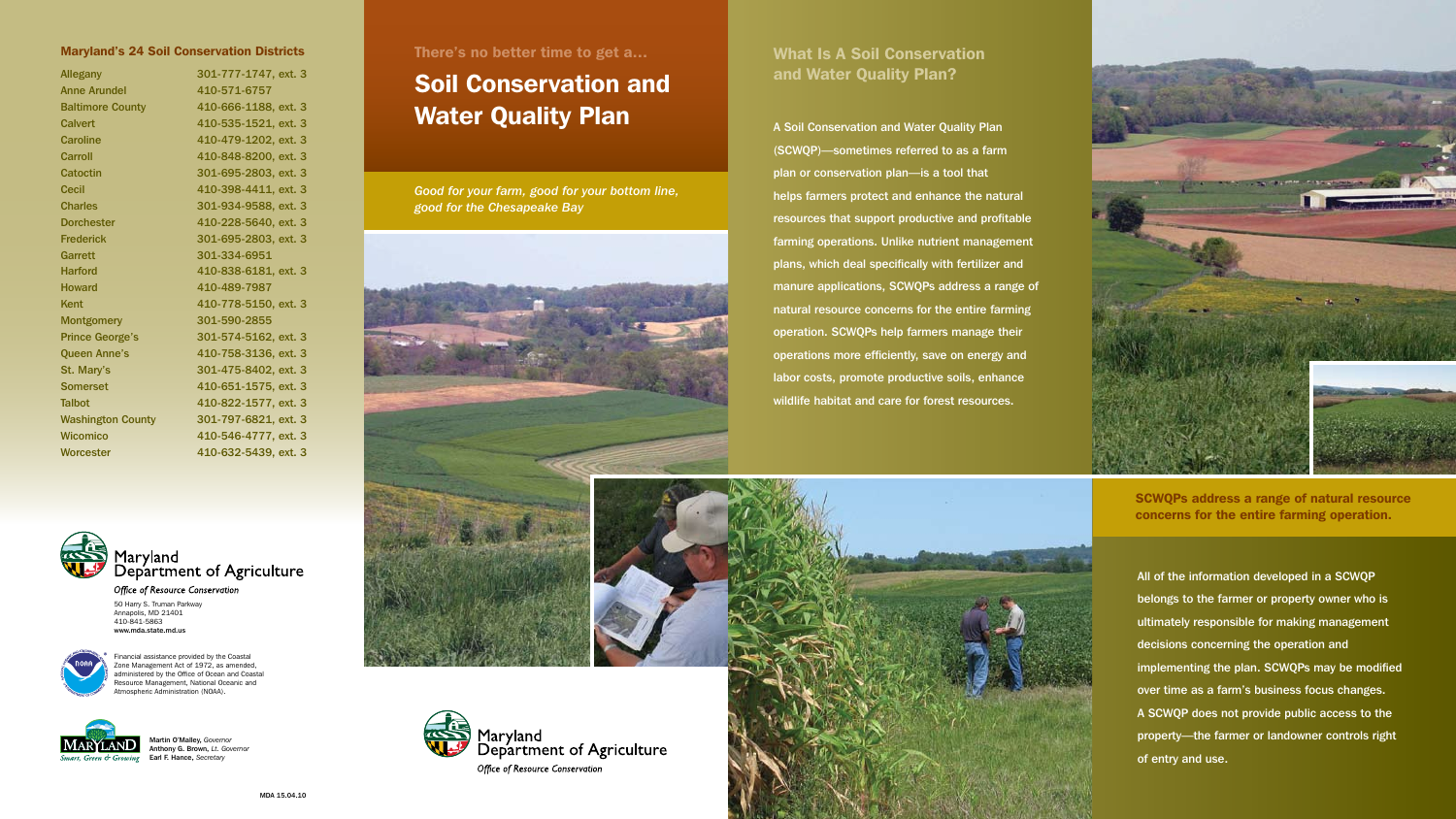*Good for your farm, good for your bottom line, good for the Chesapeake Bay*





# What Is A Soil Conservation and Water Quality Plan?

A Soil Conservation and Water Quality Plan (SCWQP)—sometimes referred to as a farm plan or conservation plan—is a tool that helps farmers protect and enhance the natural resources that support productive and profitable farming operations. Unlike nutrient management plans, which deal specifically with fertilizer and manure applications, SCWQPs address a range of natural resource concerns for the entire farming operation. SCWQPs help farmers manage their operations more efficiently, save on energy and labor costs, promote productive soils, enhance wildlife habitat and care for forest resources.





**Office of Resource Conservation** 50 Harry S. Truman Parkway Annapolis, MD 21401 410-841-5863 www.mda.state.md.us

Financial assistance provided by the Coastal Zone Management Act of 1972, as amended, administered by the Office of Ocean and Coastal Resource Management, National Oceanic and tmospheric Administration (NOAA).



# Maryland's 24 Soil Conservation Districts There's no better time to get a...

| <b>Allegany</b>          | 301-777-1747, ext. 3 |
|--------------------------|----------------------|
| <b>Anne Arundel</b>      | 410-571-6757         |
| <b>Baltimore County</b>  | 410-666-1188, ext. 3 |
| Calvert                  | 410-535-1521, ext. 3 |
| <b>Caroline</b>          | 410-479-1202, ext. 3 |
| Carroll                  | 410-848-8200, ext. 3 |
| Catoctin                 | 301-695-2803, ext. 3 |
| <b>Cecil</b>             | 410-398-4411, ext. 3 |
| <b>Charles</b>           | 301-934-9588, ext. 3 |
| <b>Dorchester</b>        | 410-228-5640, ext. 3 |
| <b>Frederick</b>         | 301-695-2803, ext. 3 |
| Garrett                  | 301-334-6951         |
| <b>Harford</b>           | 410-838-6181, ext. 3 |
| <b>Howard</b>            | 410-489-7987         |
| Kent                     | 410-778-5150, ext. 3 |
| <b>Montgomery</b>        | 301-590-2855         |
| <b>Prince George's</b>   | 301-574-5162, ext. 3 |
| <b>Queen Anne's</b>      | 410-758-3136, ext. 3 |
| St. Mary's               | 301-475-8402, ext. 3 |
| <b>Somerset</b>          | 410-651-1575, ext. 3 |
| <b>Talbot</b>            | 410-822-1577, ext. 3 |
| <b>Washington County</b> | 301-797-6821, ext. 3 |
| Wicomico                 | 410-546-4777, ext. 3 |
| <b>Worcester</b>         | 410-632-5439, ext. 3 |
|                          |                      |



# Soil Conservation and Water Quality Plan

All of the information developed in a SCWQP belongs to the farmer or property owner who is ultimately responsible for making management decisions concerning the operation and implementing the plan. SCWQPs may be modified over time as a farm's business focus changes. A SCWQP does not provide public access to the property—the farmer or landowner controls right of entry and use.

SCWQPs address a range of natural resource concerns for the entire farming operation.

Martin O'Malley, *Governor* Anthony G. Brown, *Lt. Governor* Earl F. Hance, *Secretary*